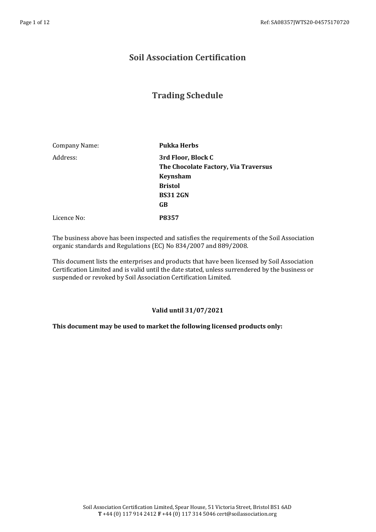## **Soil Association Certification**

## **Trading Schedule**

| Company Name: | <b>Pukka Herbs</b>                   |
|---------------|--------------------------------------|
| Address:      | 3rd Floor, Block C                   |
|               | The Chocolate Factory, Via Traversus |
|               | <b>Keynsham</b>                      |
|               | <b>Bristol</b>                       |
|               | <b>BS312GN</b>                       |
|               | GB                                   |
| Licence No:   | P8357                                |

The business above has been inspected and satisfies the requirements of the Soil Association organic standards and Regulations (EC) No 834/2007 and 889/2008.

This document lists the enterprises and products that have been licensed by Soil Association Certification Limited and is valid until the date stated, unless surrendered by the business or suspended or revoked by Soil Association Certification Limited.

## **Valid until 31/07/2021**

## **This document may be used to market the following licensed products only:**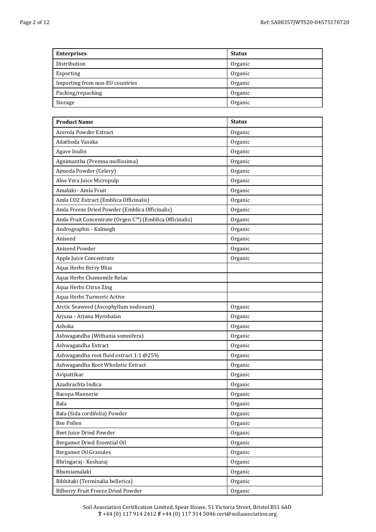| <b>Enterprises</b>              | <b>Status</b> |
|---------------------------------|---------------|
| Distribution                    | Organic       |
| Exporting                       | Organic       |
| Importing from non-EU countries | Organic       |
| Packing/repacking               | Organic       |
| Storage                         | Organic       |

| <b>Product Name</b>                                     | <b>Status</b> |
|---------------------------------------------------------|---------------|
| Acerola Powder Extract                                  | Organic       |
| Adathoda Vasaka                                         | Organic       |
| Agave Inulin                                            | Organic       |
| Agnimantha (Premna mollissima)                          | Organic       |
| Ajmoda Powder (Celery)                                  | Organic       |
| Aloe Vera Juice Micropulp                               | Organic       |
| Amalaki - Amla Fruit                                    | Organic       |
| Amla CO2 Extract (Emblica Officinalis)                  | Organic       |
| Amla Freeze Dried Powder (Emblica Officinalis)          | Organic       |
| Amla Fruit Concentrate (Orgen C™) (Emblica Officinalis) | Organic       |
| Andrographis - Kalmegh                                  | Organic       |
| Aniseed                                                 | Organic       |
| <b>Aniseed Powder</b>                                   | Organic       |
| Apple Juice Concentrate                                 | Organic       |
| Aqua Herbs Berry Bliss                                  |               |
| Aqua Herbs Chamomile Relax                              |               |
| Aqua Herbs Citrus Zing                                  |               |
| Aqua Herbs Turmeric Active                              |               |
| Arctic Seaweed (Ascophyllum nodosum)                    | Organic       |
| Arjuna - Arjuna Myrobalan                               | Organic       |
| Ashoka                                                  | Organic       |
| Ashwagandha (Withania somnifera)                        | Organic       |
| Ashwagandha Extract                                     | Organic       |
| Ashwagandha root fluid extract 1:1 @25%                 | Organic       |
| Ashwagandha Root Wholistic Extract                      | Organic       |
| Avipattikar                                             | Organic       |
| Azadirachta Indica                                      | Organic       |
| Bacopa Mannerie                                         | Organic       |
| Bala                                                    | Organic       |
| Bala (Sida cordifolia) Powder                           | Organic       |
| Bee Pollen                                              | Organic       |
| Beet Juice Dried Powder                                 | Organic       |
| Bergamot Dried Essential Oil                            | Organic       |
| Bergamot Oil Granules                                   | Organic       |
| Bhringaraj - Kesharaj                                   | Organic       |
| Bhumiamalaki                                            | Organic       |
| Bibhitaki (Terminalia bellerica)                        | Organic       |
| Bilberry Fruit Freeze Dried Powder                      | Organic       |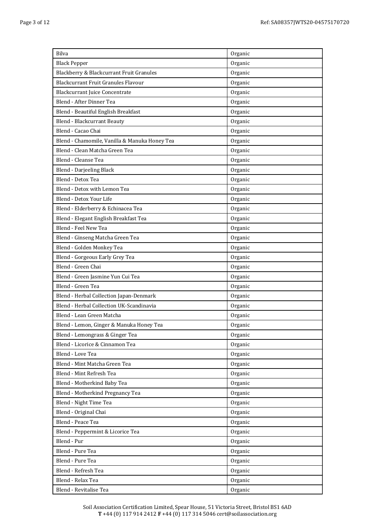| Bilva                                         | Organic |
|-----------------------------------------------|---------|
| <b>Black Pepper</b>                           | Organic |
| Blackberry & Blackcurrant Fruit Granules      | Organic |
| <b>Blackcurrant Fruit Granules Flavour</b>    | Organic |
| <b>Blackcurrant Juice Concentrate</b>         | Organic |
| Blend - After Dinner Tea                      | Organic |
| Blend - Beautiful English Breakfast           | Organic |
| <b>Blend - Blackcurrant Beauty</b>            | Organic |
| Blend - Cacao Chai                            | Organic |
| Blend - Chamomile, Vanilla & Manuka Honey Tea | Organic |
| Blend - Clean Matcha Green Tea                | Organic |
| Blend - Cleanse Tea                           | Organic |
| Blend - Darjeeling Black                      | Organic |
| Blend - Detox Tea                             | Organic |
| Blend - Detox with Lemon Tea                  | Organic |
| Blend - Detox Your Life                       | Organic |
| Blend - Elderberry & Echinacea Tea            | Organic |
| Blend - Elegant English Breakfast Tea         | Organic |
| Blend - Feel New Tea                          | Organic |
| Blend - Ginseng Matcha Green Tea              | Organic |
| Blend - Golden Monkey Tea                     | Organic |
| Blend - Gorgeous Early Grey Tea               | Organic |
| Blend - Green Chai                            | Organic |
| Blend - Green Jasmine Yun Cui Tea             | Organic |
| Blend - Green Tea                             | Organic |
| Blend - Herbal Collection Japan-Denmark       | Organic |
| Blend - Herbal Collection UK-Scandinavia      | Organic |
| Blend - Lean Green Matcha                     | Organic |
| Blend - Lemon, Ginger & Manuka Honey Tea      | Organic |
| Blend - Lemongrass & Ginger Tea               | Organic |
| Blend - Licorice & Cinnamon Tea               | Organic |
| Blend - Love Tea                              | Organic |
| Blend - Mint Matcha Green Tea                 | Organic |
| Blend - Mint Refresh Tea                      | Organic |
| Blend - Motherkind Baby Tea                   | Organic |
| Blend - Motherkind Pregnancy Tea              | Organic |
| Blend - Night Time Tea                        | Organic |
| Blend - Original Chai                         | Organic |
| Blend - Peace Tea                             | Organic |
| Blend - Peppermint & Licorice Tea             | Organic |
| Blend - Pur                                   | Organic |
| Blend - Pure Tea                              | Organic |
| Blend - Pure Tea                              | Organic |
| Blend - Refresh Tea                           | Organic |
| Blend - Relax Tea                             | Organic |
| Blend - Revitalise Tea                        | Organic |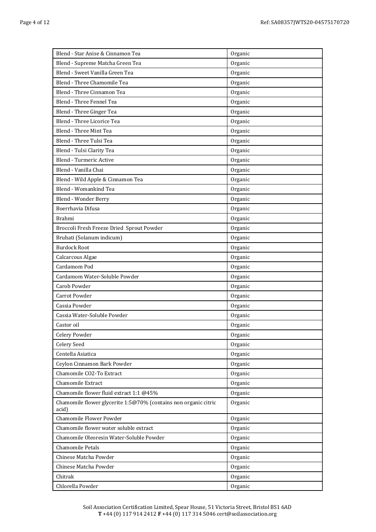| Blend - Star Anise & Cinnamon Tea                                        | Organic |
|--------------------------------------------------------------------------|---------|
| Blend - Supreme Matcha Green Tea                                         | Organic |
| Blend - Sweet Vanilla Green Tea                                          | Organic |
| Blend - Three Chamomile Tea                                              | Organic |
| Blend - Three Cinnamon Tea                                               | Organic |
| Blend - Three Fennel Tea                                                 | Organic |
| Blend - Three Ginger Tea                                                 | Organic |
| Blend - Three Licorice Tea                                               | Organic |
| Blend - Three Mint Tea                                                   | Organic |
| Blend - Three Tulsi Tea                                                  | Organic |
| Blend - Tulsi Clarity Tea                                                | Organic |
| Blend - Turmeric Active                                                  | Organic |
| Blend - Vanilla Chai                                                     | Organic |
| Blend - Wild Apple & Cinnamon Tea                                        | Organic |
| Blend - Womankind Tea                                                    | Organic |
| Blend - Wonder Berry                                                     | Organic |
| Boerrhavia Difusa                                                        | Organic |
| Brahmi                                                                   | Organic |
| Broccoli Fresh Freeze Dried Sprout Powder                                | Organic |
| Bruhati (Solanum indicum)                                                | Organic |
| <b>Burdock Root</b>                                                      | Organic |
| Calcarcous Algae                                                         | Organic |
| Cardamom Pod                                                             | Organic |
| Cardamom Water-Soluble Powder                                            | Organic |
| Carob Powder                                                             | Organic |
| <b>Carrot Powder</b>                                                     | Organic |
| Cassia Powder                                                            | Organic |
| Cassia Water-Soluble Powder                                              | Organic |
| Castor oil                                                               | Organic |
| Celery Powder                                                            | Organic |
| Celery Seed                                                              | Organic |
| Centella Asiatica                                                        | Organic |
| Ceylon Cinnamon Bark Powder                                              | Organic |
| Chamomile CO2-To Extract                                                 | Organic |
| Chamomile Extract                                                        | Organic |
| Chamomile flower fluid extract 1:1 @45%                                  | Organic |
| Chamomile flower glycerite 1:5@70% (contains non organic citric<br>acid) | Organic |
| Chamomile Flower Powder                                                  | Organic |
| Chamomile flower water soluble extract                                   | Organic |
| Chamomile Oleoresin Water-Soluble Powder                                 | Organic |
| <b>Chamomile Petals</b>                                                  | Organic |
| Chinese Matcha Powder                                                    | Organic |
| Chinese Matcha Powder                                                    | Organic |
| Chitrak                                                                  | Organic |
| Chlorella Powder                                                         | Organic |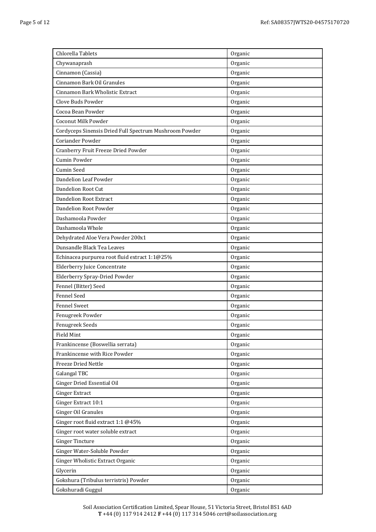| Chlorella Tablets                                      | Organic |
|--------------------------------------------------------|---------|
| Chywanaprash                                           | Organic |
| Cinnamon (Cassia)                                      | Organic |
| Cinnamon Bark Oil Granules                             | Organic |
| Cinnamon Bark Wholistic Extract                        | Organic |
| Clove Buds Powder                                      | Organic |
| Cocoa Bean Powder                                      | Organic |
| <b>Coconut Milk Powder</b>                             | Organic |
| Cordyceps Sinensis Dried Full Spectrum Mushroom Powder | Organic |
| <b>Coriander Powder</b>                                | Organic |
| Cranberry Fruit Freeze Dried Powder                    | Organic |
| Cumin Powder                                           | Organic |
| <b>Cumin Seed</b>                                      | Organic |
| Dandelion Leaf Powder                                  | Organic |
| Dandelion Root Cut                                     | Organic |
| <b>Dandelion Root Extract</b>                          | Organic |
| Dandelion Root Powder                                  | Organic |
| Dashamoola Powder                                      | Organic |
| Dashamoola Whole                                       | Organic |
| Dehydrated Aloe Vera Powder 200x1                      | Organic |
| Dunsandle Black Tea Leaves                             | Organic |
| Echinacea purpurea root fluid extract 1:1@25%          | Organic |
| <b>Elderberry Juice Concentrate</b>                    | Organic |
| Elderberry Spray-Dried Powder                          | Organic |
| Fennel (Bitter) Seed                                   | Organic |
| <b>Fennel Seed</b>                                     | Organic |
| <b>Fennel Sweet</b>                                    | Organic |
| Fenugreek Powder                                       | Organic |
| Fenugreek Seeds                                        | Organic |
| Field Mint                                             | Organic |
| Frankincense (Boswellia serrata)                       | Organic |
| Frankincense with Rice Powder                          | Organic |
| <b>Freeze Dried Nettle</b>                             | Organic |
| <b>Galangal TBC</b>                                    | Organic |
| Ginger Dried Essential Oil                             | Organic |
| <b>Ginger Extract</b>                                  | Organic |
| Ginger Extract 10:1                                    | Organic |
| Ginger Oil Granules                                    | Organic |
| Ginger root fluid extract 1:1 @45%                     | Organic |
| Ginger root water soluble extract                      | Organic |
| <b>Ginger Tincture</b>                                 | Organic |
| Ginger Water-Soluble Powder                            | Organic |
| Ginger Wholistic Extract Organic                       | Organic |
| Glycerin                                               | Organic |
| Gokshura (Tribulus terristris) Powder                  | Organic |
| Gokshuradi Guggul                                      | Organic |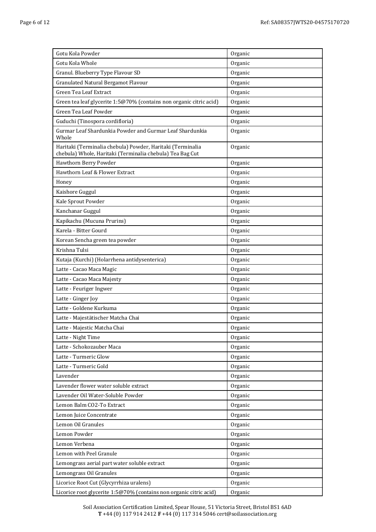| Gotu Kola Powder                                                                                                        | Organic |
|-------------------------------------------------------------------------------------------------------------------------|---------|
| Gotu Kola Whole                                                                                                         | Organic |
| Granul. Blueberry Type Flavour SD                                                                                       | Organic |
| Granulated Natural Bergamot Flavour                                                                                     | Organic |
| Green Tea Leaf Extract                                                                                                  | Organic |
| Green tea leaf glycerite 1:5@70% (contains non organic citric acid)                                                     | Organic |
| Green Tea Leaf Powder                                                                                                   | Organic |
| Guduchi (Tinospora cordifloria)                                                                                         | Organic |
| Gurmar Leaf Shardunkia Powder and Gurmar Leaf Shardunkia<br>Whole                                                       | Organic |
| Haritaki (Terminalia chebula) Powder, Haritaki (Terminalia<br>chebula) Whole, Haritaki (Terminalia chebula) Tea Bag Cut | Organic |
| Hawthorn Berry Powder                                                                                                   | Organic |
| Hawthorn Leaf & Flower Extract                                                                                          | Organic |
| Honey                                                                                                                   | Organic |
| Kaishore Guggul                                                                                                         | Organic |
| Kale Sprout Powder                                                                                                      | Organic |
| Kanchanar Guggul                                                                                                        | Organic |
| Kapikachu (Mucuna Prurins)                                                                                              | Organic |
| Karela - Bitter Gourd                                                                                                   | Organic |
| Korean Sencha green tea powder                                                                                          | Organic |
| Krishna Tulsi                                                                                                           | Organic |
| Kutaja (Kurchi) (Holarrhena antidysenterica)                                                                            | Organic |
| Latte - Cacao Maca Magic                                                                                                | Organic |
| Latte - Cacao Maca Majesty                                                                                              | Organic |
| Latte - Feuriger Ingwer                                                                                                 | Organic |
| Latte - Ginger Joy                                                                                                      | Organic |
| Latte - Goldene Kurkuma                                                                                                 | Organic |
| Latte - Majestätischer Matcha Chai                                                                                      | Organic |
| Latte - Majestic Matcha Chai                                                                                            | Organic |
| Latte - Night Time                                                                                                      | Organic |
| Latte - Schokozauber Maca                                                                                               | Organic |
| Latte - Turmeric Glow                                                                                                   | Organic |
| Latte - Turmeric Gold                                                                                                   | Organic |
| Lavender                                                                                                                | Organic |
| Lavender flower water soluble extract                                                                                   | Organic |
| Lavender Oil Water-Soluble Powder                                                                                       | Organic |
| Lemon Balm CO2-To Extract                                                                                               | Organic |
| Lemon Juice Concentrate                                                                                                 | Organic |
| Lemon Oil Granules                                                                                                      | Organic |
| Lemon Powder                                                                                                            | Organic |
| Lemon Verbena                                                                                                           | Organic |
| Lemon with Peel Granule                                                                                                 | Organic |
| Lemongrass aerial part water soluble extract                                                                            | Organic |
| Lemongrass Oil Granules                                                                                                 | Organic |
| Licorice Root Cut (Glycyrrhiza uralens)                                                                                 | Organic |
| Licorice root glycerite 1:5@70% (contains non organic citric acid)                                                      | Organic |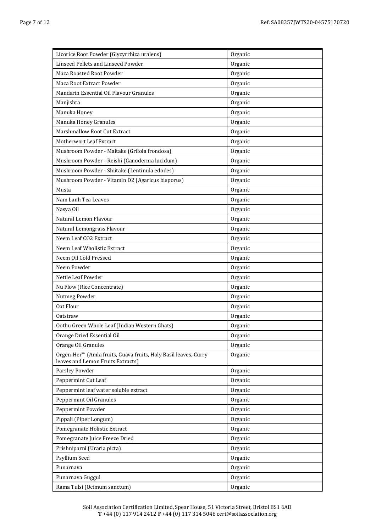| Licorice Root Powder (Glycyrrhiza uralens)                                                           | Organic |
|------------------------------------------------------------------------------------------------------|---------|
| Linseed Pellets and Linseed Powder                                                                   | Organic |
| Maca Roasted Root Powder                                                                             | Organic |
| Maca Root Extract Powder                                                                             | Organic |
| Mandarin Essential Oil Flavour Granules                                                              | Organic |
| Manjishta                                                                                            | Organic |
| Manuka Honey                                                                                         | Organic |
| Manuka Honey Granules                                                                                | Organic |
| <b>Marshmallow Root Cut Extract</b>                                                                  | Organic |
| Motherwort Leaf Extract                                                                              | Organic |
| Mushroom Powder - Maitake (Grifola frondosa)                                                         | Organic |
| Mushroom Powder - Reishi (Ganoderma lucidum)                                                         | Organic |
| Mushroom Powder - Shiitake (Lentinula edodes)                                                        | Organic |
| Mushroom Powder - Vitamin D2 (Agaricus bisporus)                                                     | Organic |
| Musta                                                                                                | Organic |
| Nam Lanh Tea Leaves                                                                                  | Organic |
| Nasya Oil                                                                                            | Organic |
| Natural Lemon Flavour                                                                                | Organic |
| Natural Lemongrass Flavour                                                                           | Organic |
| Neem Leaf CO2 Extract                                                                                | Organic |
| Neem Leaf Wholistic Extract                                                                          | Organic |
| Neem Oil Cold Pressed                                                                                | Organic |
| Neem Powder                                                                                          | Organic |
| Nettle Leaf Powder                                                                                   | Organic |
| Nu Flow (Rice Concentrate)                                                                           | Organic |
| Nutmeg Powder                                                                                        | Organic |
| Oat Flour                                                                                            | Organic |
| <b>Oatstraw</b>                                                                                      | Organic |
| Oothu Green Whole Leaf (Indian Western Ghats)                                                        | Organic |
| Orange Dried Essential Oil                                                                           | Organic |
| Orange Oil Granules                                                                                  | Organic |
| Orgen-Her™ (Amla fruits, Guava fruits, Holy Basil leaves, Curry<br>leaves and Lemon Fruits Extracts) | Organic |
| Parsley Powder                                                                                       | Organic |
| Peppermint Cut Leaf                                                                                  | Organic |
| Peppermint leaf water soluble extract                                                                | Organic |
| Peppermint Oil Granules                                                                              | Organic |
| Peppermint Powder                                                                                    | Organic |
| Pippali (Piper Longum)                                                                               | Organic |
| Pomegranate Holistic Extract                                                                         | Organic |
| Pomegranate Juice Freeze Dried                                                                       | Organic |
| Prishniparni (Uraria picta)                                                                          | Organic |
| Psyllium Seed                                                                                        | Organic |
| Punarnava                                                                                            | Organic |
| Punarnava Guggul                                                                                     | Organic |
| Rama Tulsi (Ocimum sanctum)                                                                          | Organic |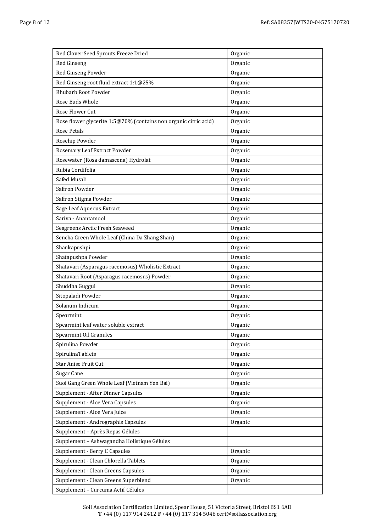| Red Clover Seed Sprouts Freeze Dried                             | Organic |
|------------------------------------------------------------------|---------|
| Red Ginseng                                                      | Organic |
| Red Ginseng Powder                                               | Organic |
| Red Ginseng root fluid extract 1:1@25%                           | Organic |
| <b>Rhubarb Root Powder</b>                                       | Organic |
| Rose Buds Whole                                                  | Organic |
| Rose Flower Cut                                                  | Organic |
| Rose flower glycerite 1:5@70% (contains non organic citric acid) | Organic |
| <b>Rose Petals</b>                                               | Organic |
| Rosehip Powder                                                   | Organic |
| Rosemary Leaf Extract Powder                                     | Organic |
| Rosewater (Rosa damascena) Hydrolat                              | Organic |
| Rubia Cordifolia                                                 | Organic |
| Safed Musali                                                     | Organic |
| Saffron Powder                                                   | Organic |
| Saffron Stigma Powder                                            | Organic |
| Sage Leaf Aqueous Extract                                        | Organic |
| Sariva - Anantamool                                              | Organic |
| Seagreens Arctic Fresh Seaweed                                   | Organic |
| Sencha Green Whole Leaf (China Da Zhang Shan)                    | Organic |
| Shankapushpi                                                     | Organic |
| Shatapushpa Powder                                               | Organic |
| Shatavari (Asparagus racemosus) Wholistic Extract                | Organic |
| Shatavari Root (Asparagus racemosus) Powder                      | Organic |
| Shuddha Guggul                                                   | Organic |
| Sitopaladi Powder                                                | Organic |
| Solanum Indicum                                                  | Organic |
| Spearmint                                                        | Organic |
| Spearmint leaf water soluble extract                             | Organic |
| Spearmint Oil Granules                                           | Organic |
| Spirulina Powder                                                 | Organic |
| SpirulinaTablets                                                 | Organic |
| <b>Star Anise Fruit Cut</b>                                      | Organic |
| Sugar Cane                                                       | Organic |
| Suoi Gang Green Whole Leaf (Vietnam Yen Bai)                     | Organic |
| Supplement - After Dinner Capsules                               | Organic |
| Supplement - Aloe Vera Capsules                                  | Organic |
| Supplement - Aloe Vera Juice                                     | Organic |
| Supplement - Andrographis Capsules                               | Organic |
| Supplement - Après Repas Gélules                                 |         |
| Supplement - Ashwagandha Holistique Gélules                      |         |
| Supplement - Berry C Capsules                                    | Organic |
| Supplement - Clean Chlorella Tablets                             | Organic |
| Supplement - Clean Greens Capsules                               | Organic |
| Supplement - Clean Greens Superblend                             | Organic |
| Supplement - Curcuma Actif Gélules                               |         |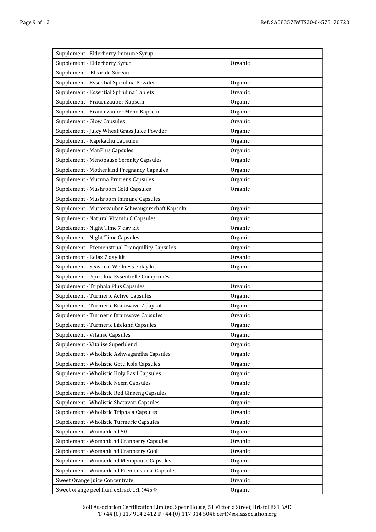| Supplement - Elderberry Immune Syrup              |         |
|---------------------------------------------------|---------|
| Supplement - Elderberry Syrup                     | Organic |
| Supplement - Elixir de Sureau                     |         |
| Supplement - Essential Spirulina Powder           | Organic |
| Supplement - Essential Spirulina Tablets          | Organic |
| Supplement - Frauenzauber Kapseln                 | Organic |
| Supplement - Frauenzauber Meno Kapseln            | Organic |
| Supplement - Glow Capsules                        | Organic |
| Supplement - Juicy Wheat Grass Juice Powder       | Organic |
| Supplement - Kapikachu Capsules                   | Organic |
| Supplement - ManPlus Capsules                     | Organic |
| Supplement - Menopause Serenity Capsules          | Organic |
| Supplement - Motherkind Pregnancy Capsules        | Organic |
| Supplement - Mucuna Pruriens Capsules             | Organic |
| Supplement - Mushroom Gold Capsules               | Organic |
| Supplement - Mushroom Immune Capsules             |         |
| Supplement - Mutterzauber Schwangerschaft Kapseln | Organic |
| Supplement - Natural Vitamin C Capsules           | Organic |
| Supplement - Night Time 7 day kit                 | Organic |
| Supplement - Night Time Capsules                  | Organic |
| Supplement - Premenstrual Tranquillity Capsules   | Organic |
| Supplement - Relax 7 day kit                      | Organic |
| Supplement - Seasonal Wellness 7 day kit          | Organic |
| Supplement - Spirulina Essentielle Comprimés      |         |
| Supplement - Triphala Plus Capsules               | Organic |
| Supplement - Turmeric Active Capsules             | Organic |
| Supplement - Turmeric Brainwave 7 day kit         | Organic |
| Supplement - Turmeric Brainwave Capsules          | Organic |
| Supplement - Turmeric Lifekind Capsules           | Organic |
| Supplement - Vitalise Capsules                    | Organic |
| Supplement - Vitalise Superblend                  | Organic |
| Supplement - Wholistic Ashwagandha Capsules       | Organic |
| Supplement - Wholistic Gotu Kola Capsules         | Organic |
| Supplement - Wholistic Holy Basil Capsules        | Organic |
| Supplement - Wholistic Neem Capsules              | Organic |
| Supplement - Wholistic Red Ginseng Capsules       | Organic |
| Supplement - Wholistic Shatavari Capsules         | Organic |
| Supplement - Wholistic Triphala Capsules          | Organic |
| Supplement - Wholistic Turmeric Capsules          | Organic |
| Supplement - Womankind 50                         | Organic |
| Supplement - Womankind Cranberry Capsules         | Organic |
| Supplement - Womankind Cranberry Cool             | Organic |
| Supplement - Womankind Menopause Capsules         | Organic |
| Supplement - Womankind Premenstrual Capsules      | Organic |
| Sweet Orange Juice Concentrate                    | Organic |
| Sweet orange peel fluid extract 1:1 @45%          | Organic |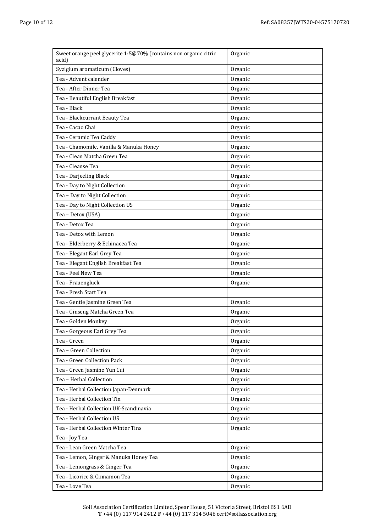| Sweet orange peel glycerite 1:5@70% (contains non organic citric<br>acid) | Organic |
|---------------------------------------------------------------------------|---------|
| Syzigium aromaticum (Cloves)                                              | Organic |
| Tea - Advent calender                                                     | Organic |
| Tea - After Dinner Tea                                                    | Organic |
| Tea - Beautiful English Breakfast                                         | Organic |
| Tea - Black                                                               | Organic |
| Tea - Blackcurrant Beauty Tea                                             | Organic |
| Tea - Cacao Chai                                                          | Organic |
| Tea - Ceramic Tea Caddy                                                   | Organic |
| Tea - Chamomile, Vanilla & Manuka Honey                                   | Organic |
| Tea - Clean Matcha Green Tea                                              | Organic |
| Tea - Cleanse Tea                                                         | Organic |
| Tea - Darjeeling Black                                                    | Organic |
| Tea - Day to Night Collection                                             | Organic |
| Tea - Day to Night Collection                                             | Organic |
| Tea - Day to Night Collection US                                          | Organic |
| Tea - Detox (USA)                                                         | Organic |
| Tea - Detox Tea                                                           | Organic |
| Tea - Detox with Lemon                                                    | Organic |
| Tea - Elderberry & Echinacea Tea                                          | Organic |
| Tea - Elegant Earl Grey Tea                                               | Organic |
| Tea - Elegant English Breakfast Tea                                       | Organic |
| Tea - Feel New Tea                                                        | Organic |
| Tea - Frauengluck                                                         | Organic |
| Tea - Fresh Start Tea                                                     |         |
| Tea - Gentle Jasmine Green Tea                                            | Organic |
| Tea - Ginseng Matcha Green Tea                                            | Organic |
| Tea - Golden Monkey                                                       | Organic |
| Tea - Gorgeous Earl Grey Tea                                              | Organic |
| Tea - Green                                                               | Organic |
| Tea - Green Collection                                                    | Organic |
| Tea - Green Collection Pack                                               | Organic |
| Tea - Green Jasmine Yun Cui                                               | Organic |
| Tea - Herbal Collection                                                   | Organic |
| Tea - Herbal Collection Japan-Denmark                                     | Organic |
| Tea - Herbal Collection Tin                                               | Organic |
| Tea - Herbal Collection UK-Scandinavia                                    | Organic |
| Tea - Herbal Collection US                                                | Organic |
| Tea - Herbal Collection Winter Tins                                       | Organic |
| Tea - Joy Tea                                                             |         |
| Tea - Lean Green Matcha Tea                                               | Organic |
| Tea - Lemon, Ginger & Manuka Honey Tea                                    | Organic |
| Tea - Lemongrass & Ginger Tea                                             | Organic |
| Tea - Licorice & Cinnamon Tea                                             | Organic |
| Tea - Love Tea                                                            | Organic |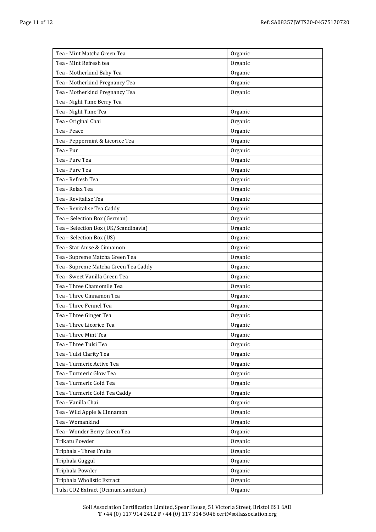| Tea - Mint Matcha Green Tea          | Organic |
|--------------------------------------|---------|
| Tea - Mint Refresh tea               | Organic |
| Tea - Motherkind Baby Tea            | Organic |
| Tea - Motherkind Pregnancy Tea       | Organic |
| Tea - Motherkind Pregnancy Tea       | Organic |
| Tea - Night Time Berry Tea           |         |
| Tea - Night Time Tea                 | Organic |
| Tea - Original Chai                  | Organic |
| Tea - Peace                          | Organic |
| Tea - Peppermint & Licorice Tea      | Organic |
| Tea - Pur                            | Organic |
| Tea - Pure Tea                       | Organic |
| Tea - Pure Tea                       | Organic |
| Tea - Refresh Tea                    | Organic |
| Tea - Relax Tea                      | Organic |
| Tea - Revitalise Tea                 | Organic |
| Tea - Revitalise Tea Caddy           | Organic |
| Tea - Selection Box (German)         | Organic |
| Tea - Selection Box (UK/Scandinavia) | Organic |
| Tea - Selection Box (US)             | Organic |
| Tea - Star Anise & Cinnamon          | Organic |
| Tea - Supreme Matcha Green Tea       | Organic |
| Tea - Supreme Matcha Green Tea Caddy | Organic |
| Tea - Sweet Vanilla Green Tea        | Organic |
| Tea - Three Chamomile Tea            | Organic |
| Tea - Three Cinnamon Tea             | Organic |
| Tea - Three Fennel Tea               | Organic |
| Tea - Three Ginger Tea               | Organic |
| Tea - Three Licorice Tea             | Organic |
| Tea - Three Mint Tea                 | Organic |
| Tea - Three Tulsi Tea                | Organic |
| Tea - Tulsi Clarity Tea              | Organic |
| Tea - Turmeric Active Tea            | Organic |
| Tea - Turmeric Glow Tea              | Organic |
| Tea - Turmeric Gold Tea              | Organic |
| Tea - Turmeric Gold Tea Caddy        | Organic |
| Tea - Vanilla Chai                   | Organic |
| Tea - Wild Apple & Cinnamon          | Organic |
| Tea - Womankind                      | Organic |
| Tea - Wonder Berry Green Tea         | Organic |
| Trikatu Powder                       | Organic |
| Triphala - Three Fruits              | Organic |
| Triphala Guggul                      | Organic |
| Triphala Powder                      | Organic |
| Triphala Wholistic Extract           | Organic |
| Tulsi CO2 Extract (Ocimum sanctum)   | Organic |